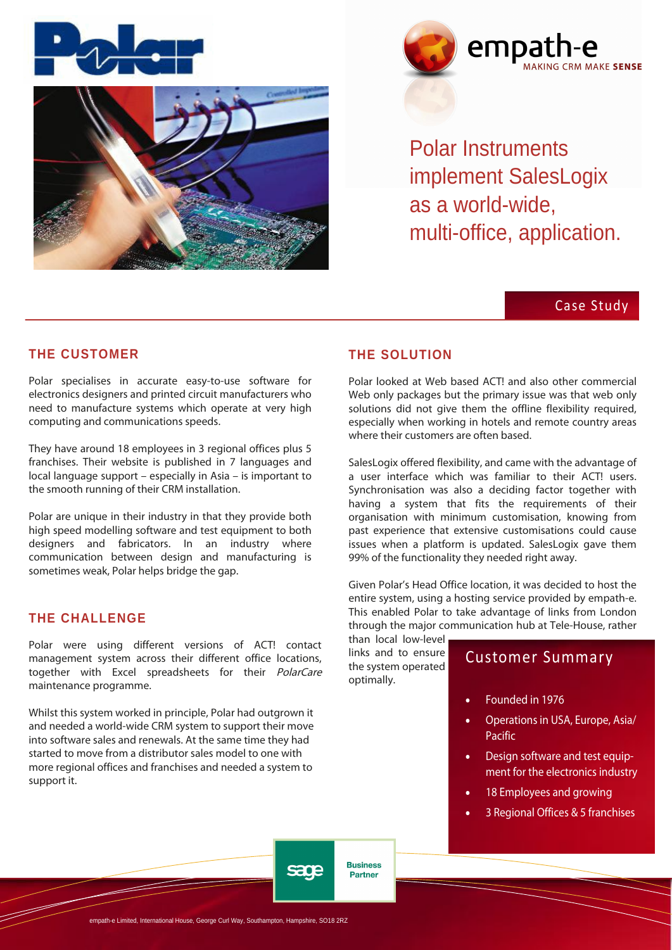



Polar Instruments implement SalesLogix as a world-wide, multi-office, application.

# Case Study

## **THE CUSTOMER**

Polar specialises in accurate easy-to-use software for electronics designers and printed circuit manufacturers who need to manufacture systems which operate at very high computing and communications speeds.

They have around 18 employees in 3 regional offices plus 5 franchises. Their website is published in 7 languages and  $local$  language support – especially in Asia – is important to the smooth running of their CRM installation.

Polar are unique in their industry in that they provide both high speed modelling software and test equipment to both designers and fabricators. In an industry where communication between design and manufacturing is sometimes weak, Polar helps bridge the gap.

#### **THE CHALLENGE**

Polar were using different versions of ACT! contact management system across their different office locations, together with Excel spreadsheets for their PolarCare maintenance programme.

Whilst this system worked in principle, Polar had outgrown it and needed a world-wide CRM system to support their move into software sales and renewals. At the same time they had started to move from a distributor sales model to one with more regional offices and franchises and needed a system to support it.

#### **THE SOLUTION**

Polar looked at Web based ACTL and also other commercial Web only packages but the primary issue was that web only solutions did not give them the offline flexibility required, especially when working in hotels and remote country areas where their customers are often based.

SalesLogix offered flexibility, and came with the advantage of a user interface which was familiar to their ACT! users. Synchronisation was also a deciding factor together with having a system that fits the requirements of their organisation with minimum customisation, knowing from past experience that extensive customisations could cause issues when a platform is updated. SalesLogix gave them 99% of the functionality they needed right away.

Given Polar's Head Office location, it was decided to host the entire system, using a hosting service provided by empath-e. This enabled Polar to take advantage of links from London through the major communication hub at Tele-House, rather

than local low-level links and to ensure the system operated optimally.

**Business** 

**Partner** 

sana

# Customer Summary

- Founded in 1976
- Operations in USA, Europe, Asia/ Pacific
- Design software and test equipment for the electronics industry
- 18 Employees and growing
- 3 Regional Offices & 5 franchises

-e Limited, International House, George Curl Way, Southampton, Hampshire, SO18 2RZ